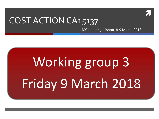

#### COST ACTION CA15137

MC meeting, Lisbon, 8-9 March 2018

# Working group 3 Friday 9 March 2018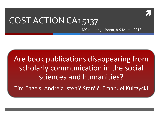

#### COST ACTION CA15137

MC meeting, Lisbon, 8-9 March 2018

Are book publications disappearing from scholarly communication in the social sciences and humanities?

Tim Engels, Andreja Istenič Starčič, Emanuel Kulczycki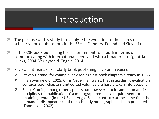#### Introduction

- $\blacktriangledown$  The purpose of this study is to analyse the evolution of the shares of scholarly book publications in the SSH in Flanders, Poland and Slovenia
- **In the SSH book publishing takes a prominent role, both in terms of** communicating with international peers and with a broader intelligentsia (Hicks, 2004; Verleysen & Engels, 2014)
- **T** Several criticisms of scholarly book publishing have been voiced
	- **7** Steven Harnad, for example, advised against book chapters already in 1986
	- **7** In an overview of 2005, Chris Nederman warns that in academic evaluation contexts book chapters and edited volumes are hardly taken into account
	- **7** Blaise Cronin, among others, points out however that in some humanities disciplines the publication of a monograph remains a requirement for obtaining tenure (in the US and Anglo-Saxon context); at the same time the immanent disappearance of the scholarly monograph has been predicted (Thompson, 2002)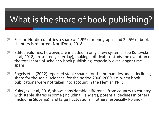## What is the share of book publishing?

- **T** For the Nordic countries a share of 4,9% of monographs and 29,5% of book chapters is reported (NordForsk, 2018)
- **A** Edited volumes, however, are included in only a few systems (see Kulczycki et al, 2018, presented yesterday), making it difficult to study the evolution of the total share of scholarly book publishing, especially over longer time spans
- **T** Engels et al (2012) reported stable shares for the humanities and a declining share for the social sciences, for the period 2000-2009, i.e. when book publications were not taken into account in the Flemish PRFS
- **T** Kulczycki et al, 2018, shows considerable difference from country to country, with stable shares in some (including Flanders), potential declines in others (including Slovenia), and large fluctuations in others (especially Poland)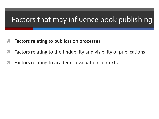#### Factors that may influence book publishing

- Factors relating to publication processes
- Factors relating to the findability and visibility of publications
- Factors relating to academic evaluation contexts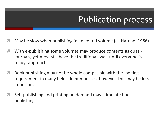## Publication process

- May be slow when publishing in an edited volume (cf. Harnad, 1986)
- **7** With e-publishing some volumes may produce contents as quasijournals, yet most still have the traditional 'wait until everyone is ready' approach
- **A** Book publishing may not be whole compatible with the 'be first' requirement in many fields. In humanities, however, this may be less important
- **T** Self-publishing and printing on demand may stimulate book publishing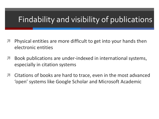#### Findability and visibility of publications

- Physical entities are more difficult to get into your hands then electronic entities
- **A** Book publications are under-indexed in international systems, especially in citation systems
- **T** Citations of books are hard to trace, even in the most advanced 'open' systems like Google Scholar and Microsoft Academic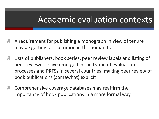#### Academic evaluation contexts

- A requirement for publishing a monograph in view of tenure may be getting less common in the humanities
- Lists of publishers, book series, peer review labels and listing of peer reviewers have emerged in the frame of evaluation processes and PRFSs in several countries, making peer review of book publications (somewhat) explicit
- Comprehensive coverage databases may reaffirm the importance of book publications in a more formal way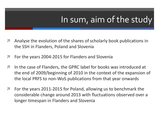## In sum, aim of the study

- Analyse the evolution of the shares of scholarly book publications in the SSH in Flanders, Poland and Slovenia
- **T** For the years 2004-2015 for Flanders and Slovenia
- **In the case of Flanders, the GPRC label for books was introduced at** the end of 2009/beginning of 2010 in the context of the expansion of the local PRFS to non-WoS publications from that year onwards
- **T** For the years 2011-2015 for Poland, allowing us to benchmark the considerable change around 2013 with fluctuations observed over a longer timespan in Flanders and Slovenia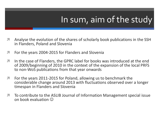## In sum, aim of the study

- Analyse the evolution of the shares of scholarly book publications in the SSH in Flanders, Poland and Slovenia
- **T** For the years 2004-2015 for Flanders and Slovenia
- **In the case of Flanders, the GPRC label for books was introduced at the end** of 2009/beginning of 2010 in the context of the expansion of the local PRFS to non-WoS publications from that year onwards
- **T** For the years 2011-2015 for Poland, allowing us to benchmark the considerable change around 2013 with fluctuations observed over a longer timespan in Flanders and Slovenia
- To contribute to the ASLIB Journal of Information Management special issue on book evaluation